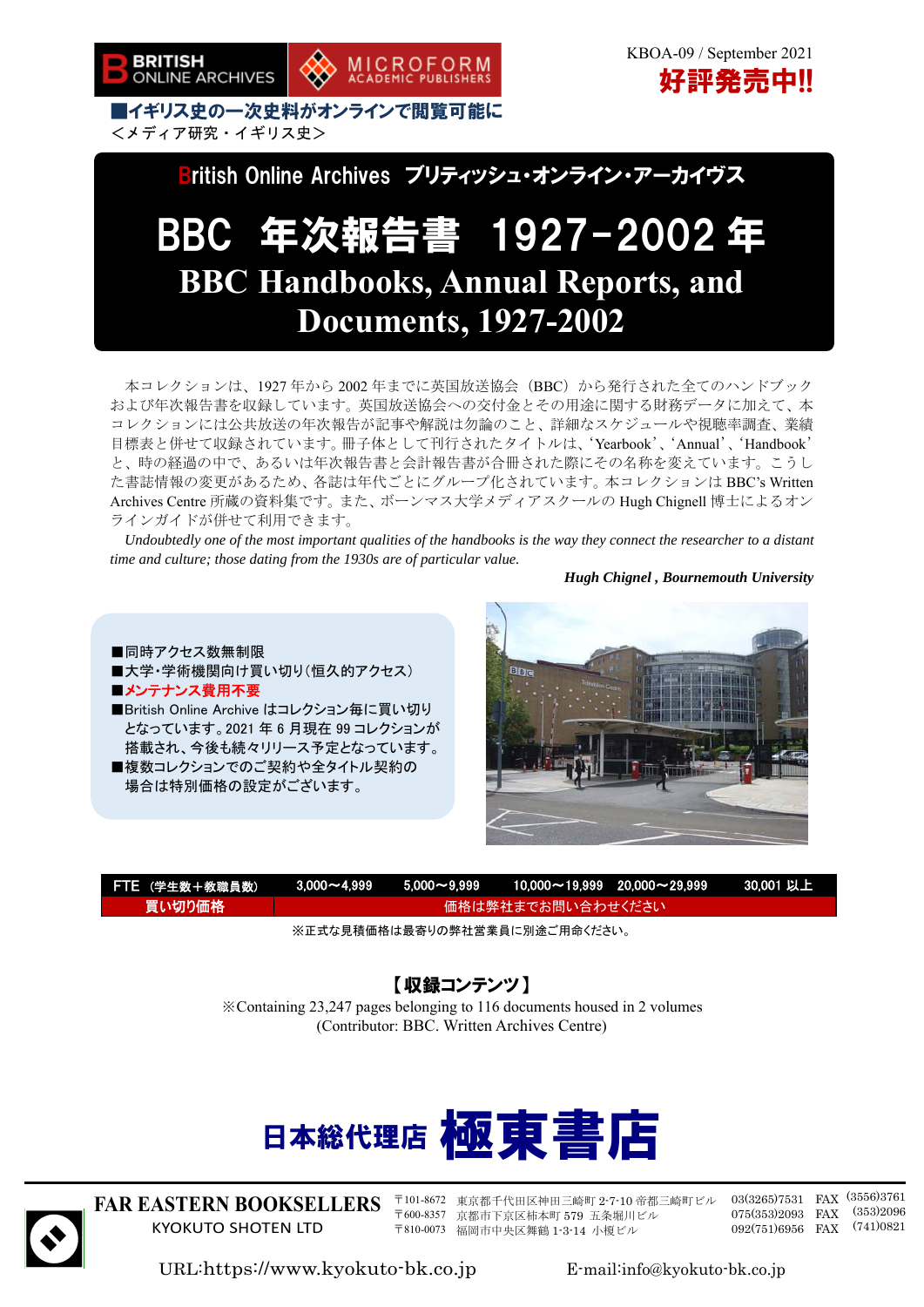

<メディア研究・イギリス史>

British Online Archives ブリティッシュ・オンライン・アーカイヴス

# BBC 年次報告書 1927-2002 年 **BBC Handbooks, Annual Reports, and Documents, 1927-2002**

本コレクションは、1927 年から 2002 年までに英国放送協会(BBC)から発行された全てのハンドブック および年次報告書を収録しています。英国放送協会への交付金とその用途に関する財務データに加えて、本 コレクションには公共放送の年次報告が記事や解説は勿論のこと、詳細なスケジュールや視聴率調査、業績 目標表と併せて収録されています。冊子体として刊行されたタイトルは、'Yearbook'、'Annual'、'Handbook' と、時の経過の中で、あるいは年次報告書と会計報告書が合冊された際にその名称を変えています。こうし た書誌情報の変更があるため、各誌は年代ごとにグループ化されています。本コレクションは BBC's Written Archives Centre 所蔵の資料集です。また、ボーンマス大学メディアスクールの Hugh Chignell 博士によるオン ラインガイドが併せて利用できます。

*Undoubtedly one of the most important qualities of the handbooks is the way they connect the researcher to a distant time and culture; those dating from the 1930s are of particular value.* 

*Hugh Chignel , Bournemouth University* 

■同時アクセス数無制限 ■大学・学術機関向け買い切り(恒久的アクセス) BiBic ■メンテナンス費用不要 ■British Online Archive はコレクション毎に買い切り となっています。2021 年 6 月現在 99 コレクションが 搭載され、今後も続々リリース予定となっています。 ■複数コレクションでのご契約や全タイトル契約の 場合は特別価格の設定がございます。



| FTE (学生数+教職員数) |                    |  |  | <u> 3,000~4,999   5,000~9,999   10,000~19,999  20,000~29,999           30,001 以上</u> \ |  |
|----------------|--------------------|--|--|----------------------------------------------------------------------------------------|--|
| 買い切り価格!        | ▲価格は弊社までお問い合わせください |  |  |                                                                                        |  |

※正式な見積価格は最寄りの弊社営業員に別途ご用命ください。

### 【収録コンテンツ】

※Containing 23,247 pages belonging to 116 documents housed in 2 volumes (Contributor: BBC. Written Archives Centre)





**FAR EASTERN BOOKSELLERS**  KYOKUTO SHOTEN LTD ֖֚֚֚֬

〒101-8672 東京都千代田区神田三崎町 2-7-10 帝都三崎町ビル 〒600-8357 京都市下京区柿本町 579 五条堀川ビル 〒810-0073 福岡市中央区舞鶴 1-3-14 小榎ビル

03(3265)7531 FAX (3556)3761 075(353)2093 FAX (353)2096 092(751)6956 FAX (741)0821

URL:https://www.kyokuto-bk.co.jp E-mail:info@kyokuto-bk.co.jp